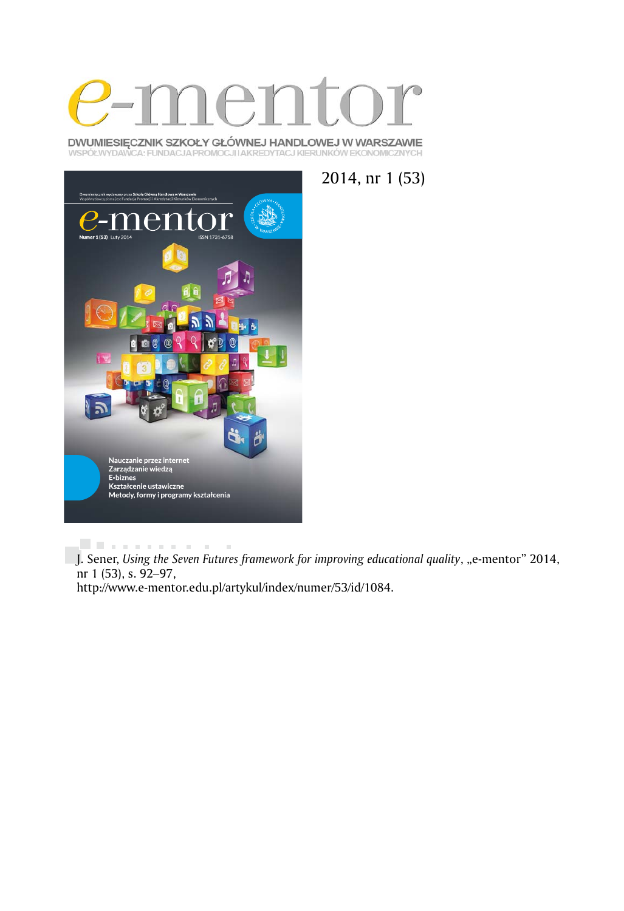

DWUMIESIĘCZNIK SZKOŁY GŁÓWNEJ HANDLOWEJ W WARSZAWIE WSPÓŁWYDAWCA: FUNDACJA PROMOCJI I AKREDYTACJ KIERUNKÓW EKONOMICZNYCH





. . . . . . . . . . .  $\sim$  10  $\pm$ J. Sener, *Using the Seven Futures framework for improving educational quality*, "e-mentor" 2014, nr 1 (53), s. 92*–*97, http://www.e-mentor.edu.pl/artykul/index/numer/53/id/1084.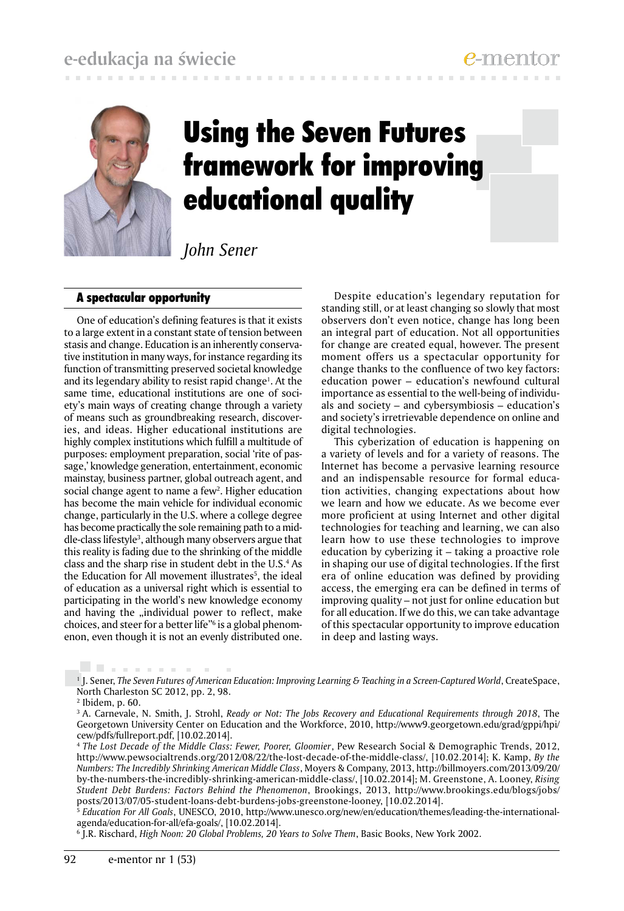

# Using the Seven Futures framework for improving educational quality

*John Sener*

## A spectacular opportunity

One of education's defining features is that it exists to a large extent in a constant state of tension between stasis and change. Education is an inherently conservative institution in many ways, for instance regarding its function of transmitting preserved societal knowledge and its legendary ability to resist rapid change<sup>1</sup>. At the same time, educational institutions are one of society's main ways of creating change through a variety of means such as groundbreaking research, discoveries, and ideas. Higher educational institutions are highly complex institutions which fulfill a multitude of purposes: employment preparation, social 'rite of passage,' knowledge generation, entertainment, economic mainstay, business partner, global outreach agent, and social change agent to name a few2 . Higher education has become the main vehicle for individual economic change, particularly in the U.S. where a college degree has become practically the sole remaining path to a middle-class lifestyle<sup>3</sup>, although many observers argue that this reality is fading due to the shrinking of the middle class and the sharp rise in student debt in the U.S.4 As the Education for All movement illustrates<sup>5</sup>, the ideal of education as a universal right which is essential to participating in the world's new knowledge economy and having the "individual power to reflect, make choices, and steer for a better life"6 is a global phenomenon, even though it is not an evenly distributed one.

Despite education's legendary reputation for standing still, or at least changing so slowly that most observers don't even notice, change has long been an integral part of education. Not all opportunities for change are created equal, however. The present moment offers us a spectacular opportunity for change thanks to the confluence of two key factors: education power – education's newfound cultural importance as essential to the well-being of individuals and society – and cybersymbiosis – education's and society's irretrievable dependence on online and digital technologies.

This cyberization of education is happening on a variety of levels and for a variety of reasons. The Internet has become a pervasive learning resource and an indispensable resource for formal education activities, changing expectations about how we learn and how we educate. As we become ever more proficient at using Internet and other digital technologies for teaching and learning, we can also learn how to use these technologies to improve education by cyberizing it – taking a proactive role in shaping our use of digital technologies. If the first era of online education was defined by providing access, the emerging era can be defined in terms of improving quality – not just for online education but for all education. If we do this, we can take advantage of this spectacular opportunity to improve education in deep and lasting ways.

. . . . . . . . 1 J. Sener, *The Seven Futures of American Education: Improving Learning & Teaching in a Screen-Captured World*, CreateSpace, North Charleston SC 2012, pp. 2, 98.

<sup>5</sup>*Education For All Goals*, UNESCO, 2010, http://www.unesco.org/new/en/education/themes/leading-the-internationalagenda/education-for-all/efa-goals/, [10.02.2014].

6 J.R. Rischard, *High Noon: 20 Global Problems, 20 Years to Solve Them*, Basic Books, New York 2002.

<sup>2</sup> Ibidem, p. 60.

<sup>3</sup> A. Carnevale, N. Smith, J. Strohl, *Ready or Not: The Jobs Recovery and Educational Requirements through 2018*, The Georgetown University Center on Education and the Workforce, 2010, http://www9.georgetown.edu/grad/gppi/hpi/ cew/pdfs/fullreport.pdf, [10.02.2014].

<sup>4</sup>*The Lost Decade of the Middle Class: Fewer, Poorer, Gloomier*, Pew Research Social & Demographic Trends, 2012, http://www.pewsocialtrends.org/2012/08/22/the-lost-decade-of-the-middle-class/, [10.02.2014]; K. Kamp, *By the Numbers: The Incredibly Shrinking American Middle Class*, Moyers & Company, 2013, http://billmoyers.com/2013/09/20/ by-the-numbers-the-incredibly-shrinking-american-middle-class/, [10.02.2014]; M. Greenstone, A. Looney, *Rising Student Debt Burdens: Factors Behind the Phenomenon*, Brookings, 2013, http://www.brookings.edu/blogs/jobs/ posts/2013/07/05-student-loans-debt-burdens-jobs-greenstone-looney, [10.02.2014].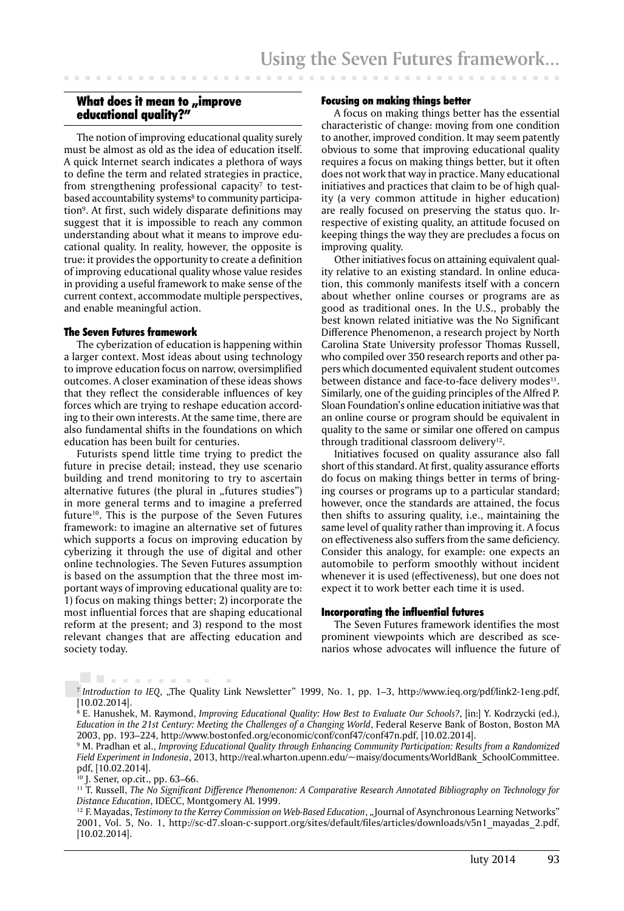## What does it mean to "improve educational quality?"

The notion of improving educational quality surely must be almost as old as the idea of education itself. A quick Internet search indicates a plethora of ways to define the term and related strategies in practice, from strengthening professional capacity<sup>7</sup> to testbased accountability systems<sup>8</sup> to community participation<sup>9</sup>. At first, such widely disparate definitions may suggest that it is impossible to reach any common understanding about what it means to improve educational quality. In reality, however, the opposite is true: it provides the opportunity to create a definition of improving educational quality whose value resides in providing a useful framework to make sense of the current context, accommodate multiple perspectives, and enable meaningful action.

#### The Seven Futures framework

The cyberization of education is happening within a larger context. Most ideas about using technology to improve education focus on narrow, oversimplified outcomes. A closer examination of these ideas shows that they reflect the considerable influences of key forces which are trying to reshape education according to their own interests. At the same time, there are also fundamental shifts in the foundations on which education has been built for centuries.

Futurists spend little time trying to predict the future in precise detail; instead, they use scenario building and trend monitoring to try to ascertain alternative futures (the plural in "futures studies") in more general terms and to imagine a preferred future<sup>10</sup>. This is the purpose of the Seven Futures framework: to imagine an alternative set of futures which supports a focus on improving education by cyberizing it through the use of digital and other online technologies. The Seven Futures assumption is based on the assumption that the three most important ways of improving educational quality are to: 1) focus on making things better; 2) incorporate the most influential forces that are shaping educational reform at the present; and 3) respond to the most relevant changes that are affecting education and society today.

## Focusing on making things better

A focus on making things better has the essential characteristic of change: moving from one condition to another, improved condition. It may seem patently obvious to some that improving educational quality requires a focus on making things better, but it often does not work that way in practice. Many educational initiatives and practices that claim to be of high quality (a very common attitude in higher education) are really focused on preserving the status quo. Irrespective of existing quality, an attitude focused on keeping things the way they are precludes a focus on improving quality.

Other initiatives focus on attaining equivalent quality relative to an existing standard. In online education, this commonly manifests itself with a concern about whether online courses or programs are as good as traditional ones. In the U.S., probably the best known related initiative was the No Significant Difference Phenomenon, a research project by North Carolina State University professor Thomas Russell, who compiled over 350 research reports and other papers which documented equivalent student outcomes between distance and face-to-face delivery modes<sup>11</sup>. Similarly, one of the guiding principles of the Alfred P. Sloan Foundation's online education initiative was that an online course or program should be equivalent in quality to the same or similar one offered on campus through traditional classroom delivery<sup>12</sup>.

Initiatives focused on quality assurance also fall short of this standard. At first, quality assurance efforts do focus on making things better in terms of bringing courses or programs up to a particular standard; however, once the standards are attained, the focus then shifts to assuring quality, i.e., maintaining the same level of quality rather than improving it. A focus on effectiveness also suffers from the same deficiency. Consider this analogy, for example: one expects an automobile to perform smoothly without incident whenever it is used (effectiveness), but one does not expect it to work better each time it is used.

#### Incorporating the influential futures

The Seven Futures framework identifies the most prominent viewpoints which are described as scenarios whose advocates will influence the future of

. . . . . . . . . .

<sup>&</sup>lt;sup>7</sup> Introduction to IEQ, "The Quality Link Newsletter" 1999, No. 1, pp. 1-3, http://www.ieq.org/pdf/link2-1eng.pdf, [10.02.2014].

<sup>8</sup> E. Hanushek, M. Raymond, *Improving Educational Quality: How Best to Evaluate Our Schools?*, [in:] Y. Kodrzycki (ed.), *Education in the 21st Century: Meeting the Challenges of a Changing World*, Federal Reserve Bank of Boston, Boston MA 2003, pp. 193–224, http://www.bostonfed.org/economic/conf/conf47/conf47n.pdf, [10.02.2014].

<sup>9</sup> M. Pradhan et al., *Improving Educational Quality through Enhancing Community Participation: Results from a Randomized Field Experiment in Indonesia*, 2013, http://real.wharton.upenn.edu/~maisy/documents/WorldBank\_SchoolCommittee. pdf, [10.02.2014].

<sup>10</sup> J. Sener, op.cit., pp. 63–66.

<sup>11</sup> T. Russell, *The No Significant Difference Phenomenon: A Comparative Research Annotated Bibliography on Technology for Distance Education*, IDECC, Montgomery AL 1999.

<sup>&</sup>lt;sup>12</sup> F. Mayadas, *Testimony to the Kerrey Commission on Web-Based Education*, "Journal of Asynchronous Learning Networks" 2001, Vol. 5, No. 1, http://sc-d7.sloan-c-support.org/sites/default/files/articles/downloads/v5n1\_mayadas\_2.pdf, [10.02.2014].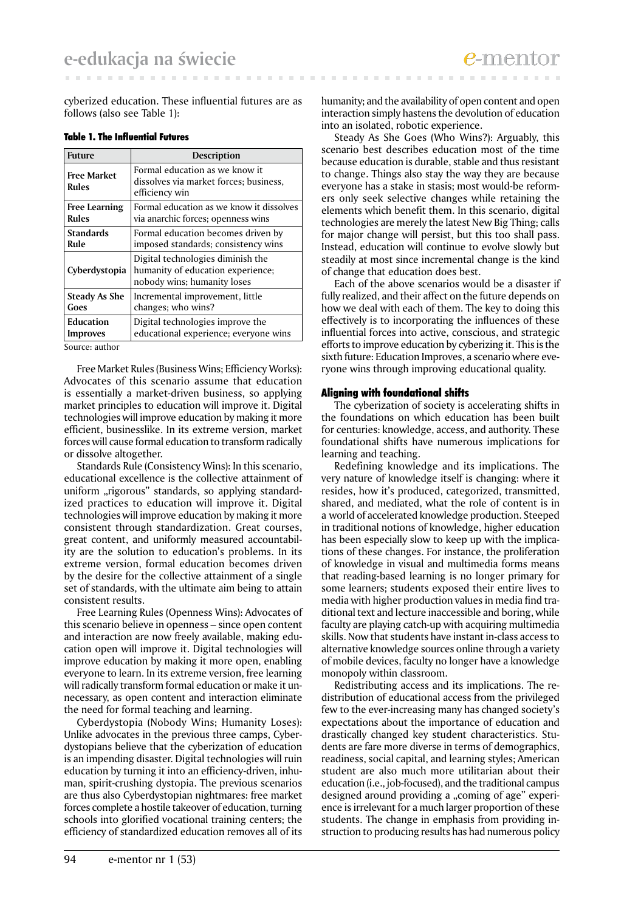cyberized education. These influential futures are as follows (also see Table 1):

| <b>Future</b>               | Description                                                                                           |  |  |
|-----------------------------|-------------------------------------------------------------------------------------------------------|--|--|
| <b>Free Market</b><br>Rules | Formal education as we know it<br>dissolves via market forces; business,<br>efficiency win            |  |  |
| <b>Free Learning</b>        | Formal education as we know it dissolves                                                              |  |  |
| <b>Rules</b>                | via anarchic forces; openness wins                                                                    |  |  |
| <b>Standards</b>            | Formal education becomes driven by                                                                    |  |  |
| Rule                        | imposed standards; consistency wins                                                                   |  |  |
| Cyberdystopia               | Digital technologies diminish the<br>humanity of education experience;<br>nobody wins; humanity loses |  |  |
| <b>Steady As She</b>        | Incremental improvement, little                                                                       |  |  |
| Goes                        | changes; who wins?                                                                                    |  |  |
| Education                   | Digital technologies improve the                                                                      |  |  |
| Improves                    | educational experience; everyone wins                                                                 |  |  |

#### Table 1. The Influential Futures

Source: author

Free Market Rules (Business Wins; Efficiency Works): Advocates of this scenario assume that education is essentially a market-driven business, so applying market principles to education will improve it. Digital technologies will improve education by making it more efficient, businesslike. In its extreme version, market forces will cause formal education to transform radically or dissolve altogether.

Standards Rule (Consistency Wins): In this scenario, educational excellence is the collective attainment of uniform "rigorous" standards, so applying standardized practices to education will improve it. Digital technologies will improve education by making it more consistent through standardization. Great courses, great content, and uniformly measured accountability are the solution to education's problems. In its extreme version, formal education becomes driven by the desire for the collective attainment of a single set of standards, with the ultimate aim being to attain consistent results.

Free Learning Rules (Openness Wins): Advocates of this scenario believe in openness – since open content and interaction are now freely available, making education open will improve it. Digital technologies will improve education by making it more open, enabling everyone to learn. In its extreme version, free learning will radically transform formal education or make it unnecessary, as open content and interaction eliminate the need for formal teaching and learning.

Cyberdystopia (Nobody Wins; Humanity Loses): Unlike advocates in the previous three camps, Cyberdystopians believe that the cyberization of education is an impending disaster. Digital technologies will ruin education by turning it into an efficiency-driven, inhuman, spirit-crushing dystopia. The previous scenarios are thus also Cyberdystopian nightmares: free market forces complete a hostile takeover of education, turning schools into glorified vocational training centers; the efficiency of standardized education removes all of its

humanity; and the availability of open content and open interaction simply hastens the devolution of education into an isolated, robotic experience.

Steady As She Goes (Who Wins?): Arguably, this scenario best describes education most of the time because education is durable, stable and thus resistant to change. Things also stay the way they are because everyone has a stake in stasis; most would-be reformers only seek selective changes while retaining the elements which benefit them. In this scenario, digital technologies are merely the latest New Big Thing; calls for major change will persist, but this too shall pass. Instead, education will continue to evolve slowly but steadily at most since incremental change is the kind of change that education does best.

Each of the above scenarios would be a disaster if fully realized, and their affect on the future depends on how we deal with each of them. The key to doing this effectively is to incorporating the influences of these influential forces into active, conscious, and strategic efforts to improve education by cyberizing it. This is the sixth future: Education Improves, a scenario where everyone wins through improving educational quality.

## Aligning with foundational shifts

The cyberization of society is accelerating shifts in the foundations on which education has been built for centuries: knowledge, access, and authority. These foundational shifts have numerous implications for learning and teaching.

Redefining knowledge and its implications. The very nature of knowledge itself is changing: where it resides, how it's produced, categorized, transmitted, shared, and mediated, what the role of content is in a world of accelerated knowledge production. Steeped in traditional notions of knowledge, higher education has been especially slow to keep up with the implications of these changes. For instance, the proliferation of knowledge in visual and multimedia forms means that reading-based learning is no longer primary for some learners; students exposed their entire lives to media with higher production values in media find traditional text and lecture inaccessible and boring, while faculty are playing catch-up with acquiring multimedia skills. Now that students have instant in-class access to alternative knowledge sources online through a variety of mobile devices, faculty no longer have a knowledge monopoly within classroom.

Redistributing access and its implications. The redistribution of educational access from the privileged few to the ever-increasing many has changed society's expectations about the importance of education and drastically changed key student characteristics. Students are fare more diverse in terms of demographics, readiness, social capital, and learning styles; American student are also much more utilitarian about their education (i.e., job-focused), and the traditional campus designed around providing a "coming of age" experience is irrelevant for a much larger proportion of these students. The change in emphasis from providing instruction to producing results has had numerous policy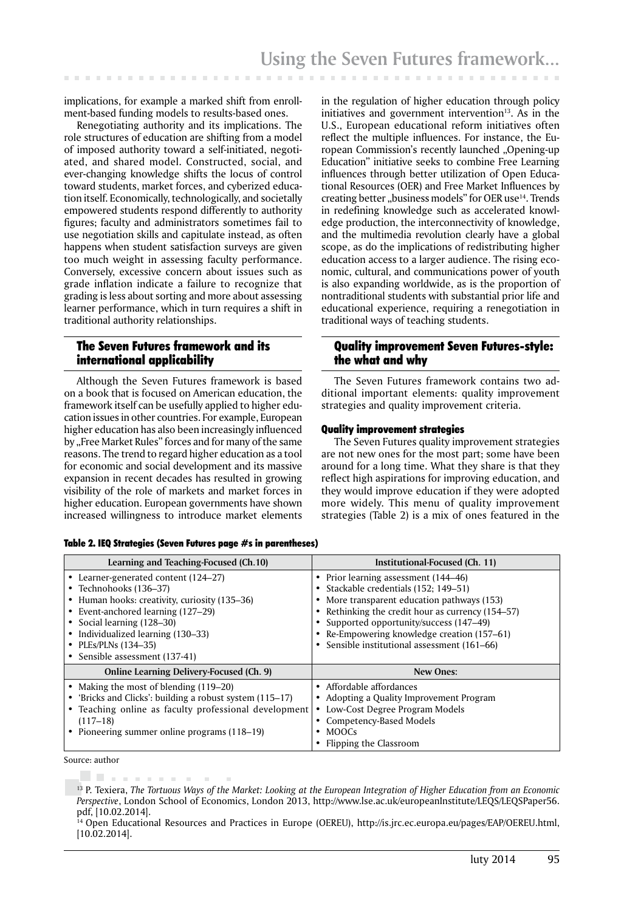implications, for example a marked shift from enrollment-based funding models to results-based ones.

Renegotiating authority and its implications. The role structures of education are shifting from a model of imposed authority toward a self-initiated, negotiated, and shared model. Constructed, social, and ever-changing knowledge shifts the locus of control toward students, market forces, and cyberized education itself. Economically, technologically, and societally empowered students respond differently to authority figures; faculty and administrators sometimes fail to use negotiation skills and capitulate instead, as often happens when student satisfaction surveys are given too much weight in assessing faculty performance. Conversely, excessive concern about issues such as grade inflation indicate a failure to recognize that grading is less about sorting and more about assessing learner performance, which in turn requires a shift in traditional authority relationships.

## The Seven Futures framework and its international applicability

Although the Seven Futures framework is based on a book that is focused on American education, the framework itself can be usefully applied to higher education issues in other countries. For example, European higher education has also been increasingly influenced by "Free Market Rules" forces and for many of the same reasons. The trend to regard higher education as a tool for economic and social development and its massive expansion in recent decades has resulted in growing visibility of the role of markets and market forces in higher education. European governments have shown increased willingness to introduce market elements

in the regulation of higher education through policy initiatives and government intervention $13$ . As in the U.S., European educational reform initiatives often reflect the multiple influences. For instance, the European Commission's recently launched "Opening-up Education" initiative seeks to combine Free Learning influences through better utilization of Open Educational Resources (OER) and Free Market Influences by creating better "business models" for OER use<sup>14</sup>. Trends in redefining knowledge such as accelerated knowledge production, the interconnectivity of knowledge, and the multimedia revolution clearly have a global scope, as do the implications of redistributing higher education access to a larger audience. The rising economic, cultural, and communications power of youth is also expanding worldwide, as is the proportion of nontraditional students with substantial prior life and educational experience, requiring a renegotiation in traditional ways of teaching students.

## Quality improvement Seven Futures-style: the what and why

The Seven Futures framework contains two additional important elements: quality improvement strategies and quality improvement criteria.

## Quality improvement strategies

The Seven Futures quality improvement strategies are not new ones for the most part; some have been around for a long time. What they share is that they reflect high aspirations for improving education, and they would improve education if they were adopted more widely. This menu of quality improvement strategies (Table 2) is a mix of ones featured in the

| Learning and Teaching-Focused (Ch.10)                                                                                                                                                                                     | Institutional-Focused (Ch. 11)                                                                                                                                                                                                                                     |  |  |
|---------------------------------------------------------------------------------------------------------------------------------------------------------------------------------------------------------------------------|--------------------------------------------------------------------------------------------------------------------------------------------------------------------------------------------------------------------------------------------------------------------|--|--|
| • Learner-generated content (124–27)<br>• Technohooks (136–37)<br>• Human hooks: creativity, curiosity (135–36)<br>• Event-anchored learning (127–29)<br>• Social learning (128–30)<br>• Individualized learning (130–33) | • Prior learning assessment (144–46)<br>Stackable credentials (152; 149–51)<br>More transparent education pathways (153)<br>Rethinking the credit hour as currency (154–57)<br>Supported opportunity/success (147–49)<br>Re-Empowering knowledge creation (157–61) |  |  |
| • PLEs/PLNs (134-35)                                                                                                                                                                                                      | • Sensible institutional assessment (161–66)                                                                                                                                                                                                                       |  |  |
| • Sensible assessment (137-41)                                                                                                                                                                                            |                                                                                                                                                                                                                                                                    |  |  |
| <b>Online Learning Delivery-Focused (Ch. 9)</b>                                                                                                                                                                           | <b>New Ones:</b>                                                                                                                                                                                                                                                   |  |  |
|                                                                                                                                                                                                                           |                                                                                                                                                                                                                                                                    |  |  |
| • Making the most of blending (119–20)                                                                                                                                                                                    | Affordable affordances                                                                                                                                                                                                                                             |  |  |
| • 'Bricks and Clicks': building a robust system (115–17)                                                                                                                                                                  | Adopting a Quality Improvement Program                                                                                                                                                                                                                             |  |  |
| • Teaching online as faculty professional development                                                                                                                                                                     | Low-Cost Degree Program Models<br>٠                                                                                                                                                                                                                                |  |  |
| $(117 - 18)$                                                                                                                                                                                                              | Competency-Based Models                                                                                                                                                                                                                                            |  |  |
| • Pioneering summer online programs (118–19)                                                                                                                                                                              | <b>MOOCS</b>                                                                                                                                                                                                                                                       |  |  |

Table 2. IEQ Strategies (Seven Futures page #s in parentheses)

Source: author

. . . . . . . . . 13 P. Texiera, *The Tortuous Ways of the Market: Looking at the European Integration of Higher Education from an Economic Perspective*, London School of Economics, London 2013, http://www.lse.ac.uk/europeanInstitute/LEQS/LEQSPaper56. pdf, [10.02.2014].

14 Open Educational Resources and Practices in Europe (OEREU), http://is.jrc.ec.europa.eu/pages/EAP/OEREU.html, [10.02.2014].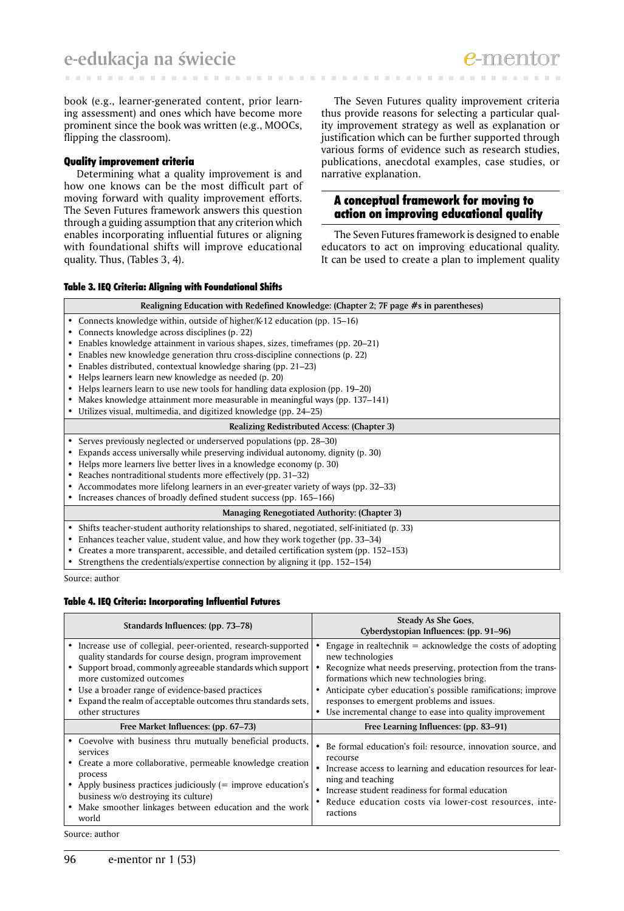book (e.g., learner-generated content, prior learning assessment) and ones which have become more prominent since the book was written (e.g., MOOCs, flipping the classroom).

## Quality improvement criteria

Determining what a quality improvement is and how one knows can be the most difficult part of moving forward with quality improvement efforts. The Seven Futures framework answers this question through a guiding assumption that any criterion which enables incorporating influential futures or aligning with foundational shifts will improve educational quality. Thus, (Tables 3, 4).

The Seven Futures quality improvement criteria thus provide reasons for selecting a particular quality improvement strategy as well as explanation or justification which can be further supported through various forms of evidence such as research studies, publications, anecdotal examples, case studies, or narrative explanation.

## A conceptual framework for moving to action on improving educational quality

The Seven Futures framework is designed to enable educators to act on improving educational quality. It can be used to create a plan to implement quality

## Table 3. IEQ Criteria: Aligning with Foundational Shifts

|                                              | Realigning Education with Redefined Knowledge: (Chapter 2; 7F page #s in parentheses)          |  |  |  |  |  |
|----------------------------------------------|------------------------------------------------------------------------------------------------|--|--|--|--|--|
|                                              | • Connects knowledge within, outside of higher/K-12 education (pp. 15–16)                      |  |  |  |  |  |
|                                              | Connects knowledge across disciplines (p. 22)                                                  |  |  |  |  |  |
|                                              | Enables knowledge attainment in various shapes, sizes, timeframes (pp. 20–21)                  |  |  |  |  |  |
|                                              | Enables new knowledge generation thru cross-discipline connections (p. 22)                     |  |  |  |  |  |
|                                              | Enables distributed, contextual knowledge sharing (pp. 21–23)                                  |  |  |  |  |  |
|                                              | Helps learners learn new knowledge as needed (p. 20)                                           |  |  |  |  |  |
|                                              | Helps learners learn to use new tools for handling data explosion (pp. 19–20)                  |  |  |  |  |  |
|                                              | Makes knowledge attainment more measurable in meaningful ways (pp. 137–141)                    |  |  |  |  |  |
|                                              | Utilizes visual, multimedia, and digitized knowledge (pp. 24–25)                               |  |  |  |  |  |
|                                              | <b>Realizing Redistributed Access: (Chapter 3)</b>                                             |  |  |  |  |  |
|                                              | • Serves previously neglected or underserved populations (pp. 28–30)                           |  |  |  |  |  |
|                                              | Expands access universally while preserving individual autonomy, dignity (p. 30)               |  |  |  |  |  |
|                                              | • Helps more learners live better lives in a knowledge economy (p. 30)                         |  |  |  |  |  |
|                                              | Reaches nontraditional students more effectively (pp. 31–32)                                   |  |  |  |  |  |
|                                              | • Accommodates more lifelong learners in an ever-greater variety of ways (pp. 32–33)           |  |  |  |  |  |
|                                              | • Increases chances of broadly defined student success (pp. 165–166)                           |  |  |  |  |  |
| Managing Renegotiated Authority: (Chapter 3) |                                                                                                |  |  |  |  |  |
|                                              | • Shifts teacher-student authority relationships to shared, negotiated, self-initiated (p. 33) |  |  |  |  |  |
| $\bullet$                                    | Enhances teacher value, student value, and how they work together (pp. 33–34)                  |  |  |  |  |  |
| ٠                                            | Creates a more transparent, accessible, and detailed certification system (pp. 152–153)        |  |  |  |  |  |
|                                              | Strengthens the credentials/expertise connection by aligning it (pp. 152–154)                  |  |  |  |  |  |

Source: author

#### Table 4. IEQ Criteria: Incorporating Influential Futures

| Standards Influences: (pp. 73–78)                                                                                                                                                                                                                                                                                                                              | <b>Steady As She Goes,</b><br>Cyberdystopian Influences: (pp. 91–96)                                                                                                                                                                                                                                                                                                             |  |  |
|----------------------------------------------------------------------------------------------------------------------------------------------------------------------------------------------------------------------------------------------------------------------------------------------------------------------------------------------------------------|----------------------------------------------------------------------------------------------------------------------------------------------------------------------------------------------------------------------------------------------------------------------------------------------------------------------------------------------------------------------------------|--|--|
| • Increase use of collegial, peer-oriented, research-supported<br>quality standards for course design, program improvement<br>Support broad, commonly agreeable standards which support<br>more customized outcomes<br>• Use a broader range of evidence-based practices<br>• Expand the realm of acceptable outcomes thru standards sets,<br>other structures | Engage in realtechnik $=$ acknowledge the costs of adopting<br>new technologies<br>Recognize what needs preserving, protection from the trans-<br>formations which new technologies bring.<br>Anticipate cyber education's possible ramifications; improve<br>responses to emergent problems and issues.<br>Use incremental change to ease into quality improvement<br>$\bullet$ |  |  |
| Free Market Influences: (pp. 67–73)                                                                                                                                                                                                                                                                                                                            | Free Learning Influences: (pp. 83–91)                                                                                                                                                                                                                                                                                                                                            |  |  |
| • Coevolve with business thru mutually beneficial products,<br>services<br>• Create a more collaborative, permeable knowledge creation<br>process<br>• Apply business practices judiciously (= improve education's<br>business w/o destroying its culture)<br>• Make smoother linkages between education and the work<br>world                                 | Be formal education's foil: resource, innovation source, and<br>$\bullet$<br>recourse<br>Increase access to learning and education resources for lear-<br>$\bullet$<br>ning and teaching<br>Increase student readiness for formal education<br>$\bullet$<br>Reduce education costs via lower-cost resources, inte-<br>ractions                                                   |  |  |

Source: author